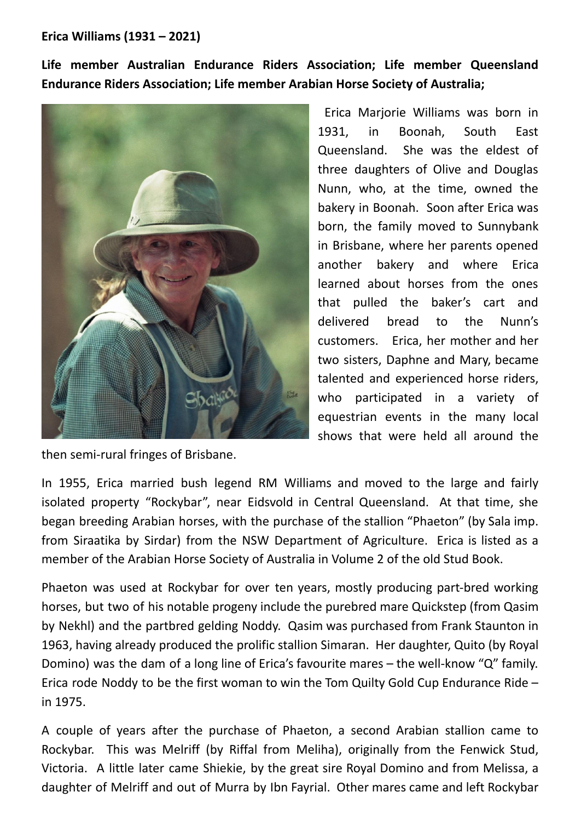**Erica Williams (1931 – 2021)**

**Life member Australian Endurance Riders Association; Life member Queensland Endurance Riders Association; Life member Arabian Horse Society of Australia;**



Erica Marjorie Williams was born in 1931, in Boonah, South East Queensland. She was the eldest of three daughters of Olive and Douglas Nunn, who, at the time, owned the bakery in Boonah. Soon after Erica was born, the family moved to Sunnybank in Brisbane, where her parents opened another bakery and where Erica learned about horses from the ones that pulled the baker's cart and delivered bread to the Nunn's customers. Erica, her mother and her two sisters, Daphne and Mary, became talented and experienced horse riders, who participated in a variety of equestrian events in the many local shows that were held all around the

then semi-rural fringes of Brisbane.

In 1955, Erica married bush legend RM Williams and moved to the large and fairly isolated property "Rockybar", near Eidsvold in Central Queensland. At that time, she began breeding Arabian horses, with the purchase of the stallion "Phaeton" (by Sala imp. from Siraatika by Sirdar) from the NSW Department of Agriculture. Erica is listed as a member of the Arabian Horse Society of Australia in Volume 2 of the old Stud Book.

Phaeton was used at Rockybar for over ten years, mostly producing part-bred working horses, but two of his notable progeny include the purebred mare Quickstep (from Qasim by Nekhl) and the partbred gelding Noddy. Qasim was purchased from Frank Staunton in 1963, having already produced the prolific stallion Simaran. Her daughter, Quito (by Royal Domino) was the dam of a long line of Erica's favourite mares – the well-know "Q" family. Erica rode Noddy to be the first woman to win the Tom Quilty Gold Cup Endurance Ride – in 1975.

A couple of years after the purchase of Phaeton, a second Arabian stallion came to Rockybar. This was Melriff (by Riffal from Meliha), originally from the Fenwick Stud, Victoria. A little later came Shiekie, by the great sire Royal Domino and from Melissa, a daughter of Melriff and out of Murra by Ibn Fayrial. Other mares came and left Rockybar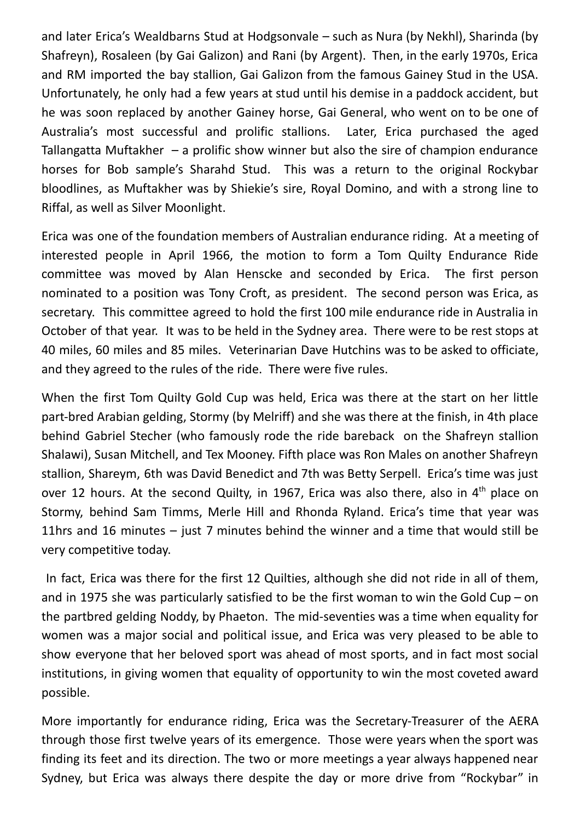and later Erica's Wealdbarns Stud at Hodgsonvale – such as Nura (by Nekhl), Sharinda (by Shafreyn), Rosaleen (by Gai Galizon) and Rani (by Argent). Then, in the early 1970s, Erica and RM imported the bay stallion, Gai Galizon from the famous Gainey Stud in the USA. Unfortunately, he only had a few years at stud until his demise in a paddock accident, but he was soon replaced by another Gainey horse, Gai General, who went on to be one of Australia's most successful and prolific stallions. Later, Erica purchased the aged Tallangatta Muftakher  $-$  a prolific show winner but also the sire of champion endurance horses for Bob sample's Sharahd Stud. This was a return to the original Rockybar bloodlines, as Muftakher was by Shiekie's sire, Royal Domino, and with a strong line to Riffal, as well as Silver Moonlight.

Erica was one of the foundation members of Australian endurance riding. At a meeting of interested people in April 1966, the motion to form a Tom Quilty Endurance Ride committee was moved by Alan Henscke and seconded by Erica. The first person nominated to a position was Tony Croft, as president. The second person was Erica, as secretary. This committee agreed to hold the first 100 mile endurance ride in Australia in October of that year. It was to be held in the Sydney area. There were to be rest stops at 40 miles, 60 miles and 85 miles. Veterinarian Dave Hutchins was to be asked to officiate, and they agreed to the rules of the ride. There were five rules.

When the first Tom Quilty Gold Cup was held, Erica was there at the start on her little part-bred Arabian gelding, Stormy (by Melriff) and she was there at the finish, in 4th place behind Gabriel Stecher (who famously rode the ride bareback on the Shafreyn stallion Shalawi), Susan Mitchell, and Tex Mooney. Fifth place was Ron Males on another Shafreyn stallion, Shareym, 6th was David Benedict and 7th was Betty Serpell. Erica's time was just over 12 hours. At the second Quilty, in 1967, Erica was also there, also in 4<sup>th</sup> place on Stormy, behind Sam Timms, Merle Hill and Rhonda Ryland. Erica's time that year was 11hrs and 16 minutes – just 7 minutes behind the winner and a time that would still be very competitive today.

In fact, Erica was there for the first 12 Quilties, although she did not ride in all of them, and in 1975 she was particularly satisfied to be the first woman to win the Gold Cup – on the partbred gelding Noddy, by Phaeton. The mid-seventies was a time when equality for women was a major social and political issue, and Erica was very pleased to be able to show everyone that her beloved sport was ahead of most sports, and in fact most social institutions, in giving women that equality of opportunity to win the most coveted award possible.

More importantly for endurance riding, Erica was the Secretary-Treasurer of the AERA through those first twelve years of its emergence. Those were years when the sport was finding its feet and its direction. The two or more meetings a year always happened near Sydney, but Erica was always there despite the day or more drive from "Rockybar" in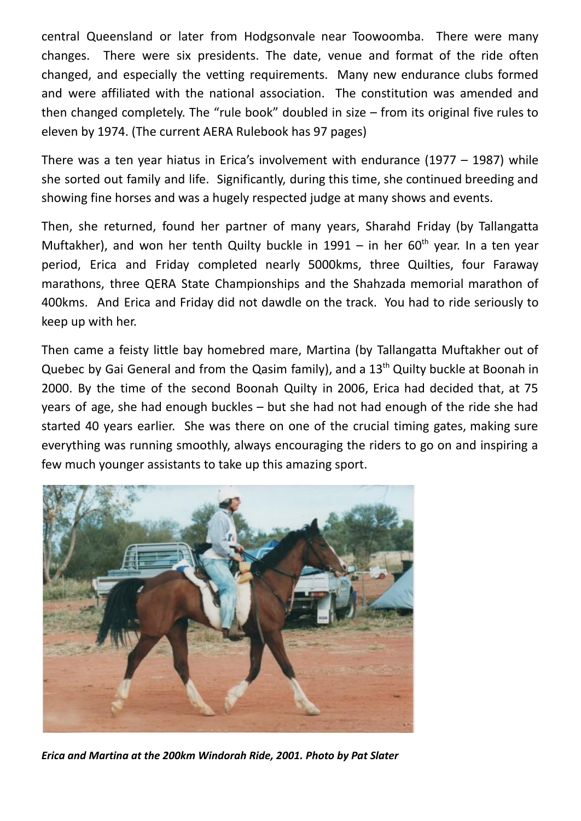central Queensland or later from Hodgsonvale near Toowoomba. There were many changes. There were six presidents. The date, venue and format of the ride often changed, and especially the vetting requirements. Many new endurance clubs formed and were affiliated with the national association. The constitution was amended and then changed completely. The "rule book" doubled in size – from its original five rules to eleven by 1974. (The current AERA Rulebook has 97 pages)

There was a ten year hiatus in Erica's involvement with endurance (1977 – 1987) while she sorted out family and life. Significantly, during this time, she continued breeding and showing fine horses and was a hugely respected judge at many shows and events.

Then, she returned, found her partner of many years, Sharahd Friday (by Tallangatta Muftakher), and won her tenth Quilty buckle in 1991 - in her 60<sup>th</sup> year. In a ten year period, Erica and Friday completed nearly 5000kms, three Quilties, four Faraway marathons, three QERA State Championships and the Shahzada memorial marathon of 400kms. And Erica and Friday did not dawdle on the track. You had to ride seriously to keep up with her.

Then came a feisty little bay homebred mare, Martina (by Tallangatta Muftakher out of Quebec by Gai General and from the Qasim family), and a 13<sup>th</sup> Quilty buckle at Boonah in 2000. By the time of the second Boonah Quilty in 2006, Erica had decided that, at 75 years of age, she had enough buckles – but she had not had enough of the ride she had started 40 years earlier. She was there on one of the crucial timing gates, making sure everything was running smoothly, always encouraging the riders to go on and inspiring a few much younger assistants to take up this amazing sport.



*Erica and Martina at the 200km Windorah Ride, 2001. Photo by Pat Slater*